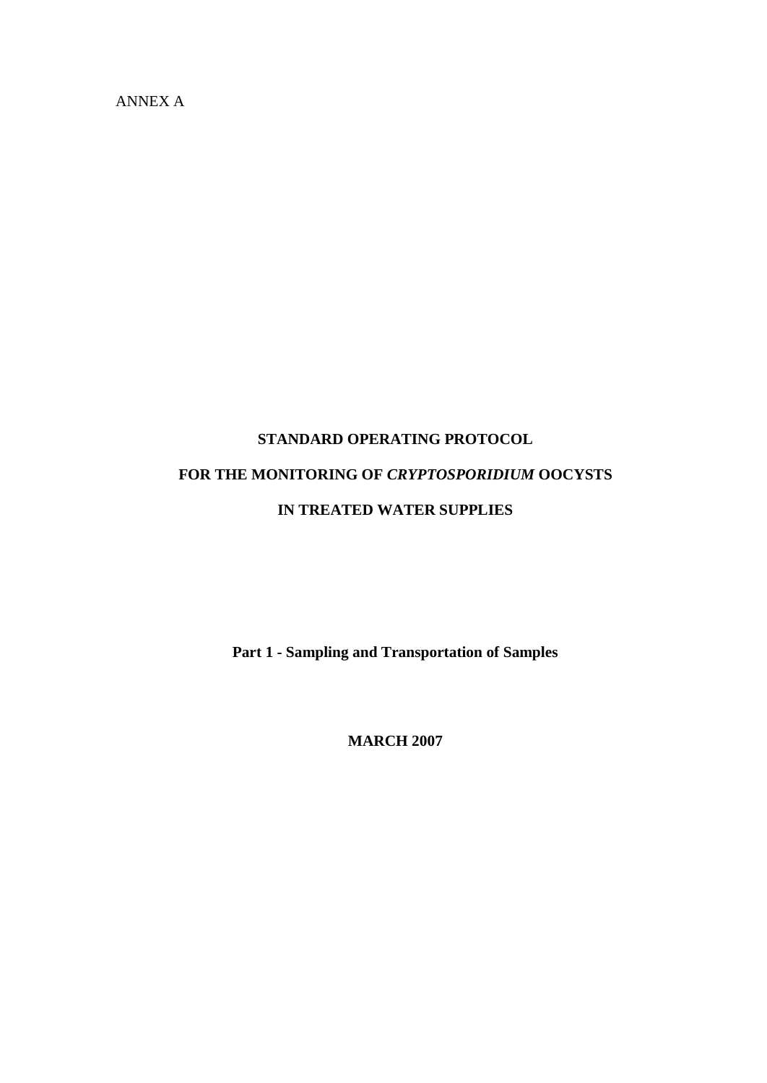ANNEX A

# **STANDARD OPERATING PROTOCOL FOR THE MONITORING OF** *CRYPTOSPORIDIUM* **OOCYSTS IN TREATED WATER SUPPLIES**

**Part 1 - Sampling and Transportation of Samples**

**MARCH 2007**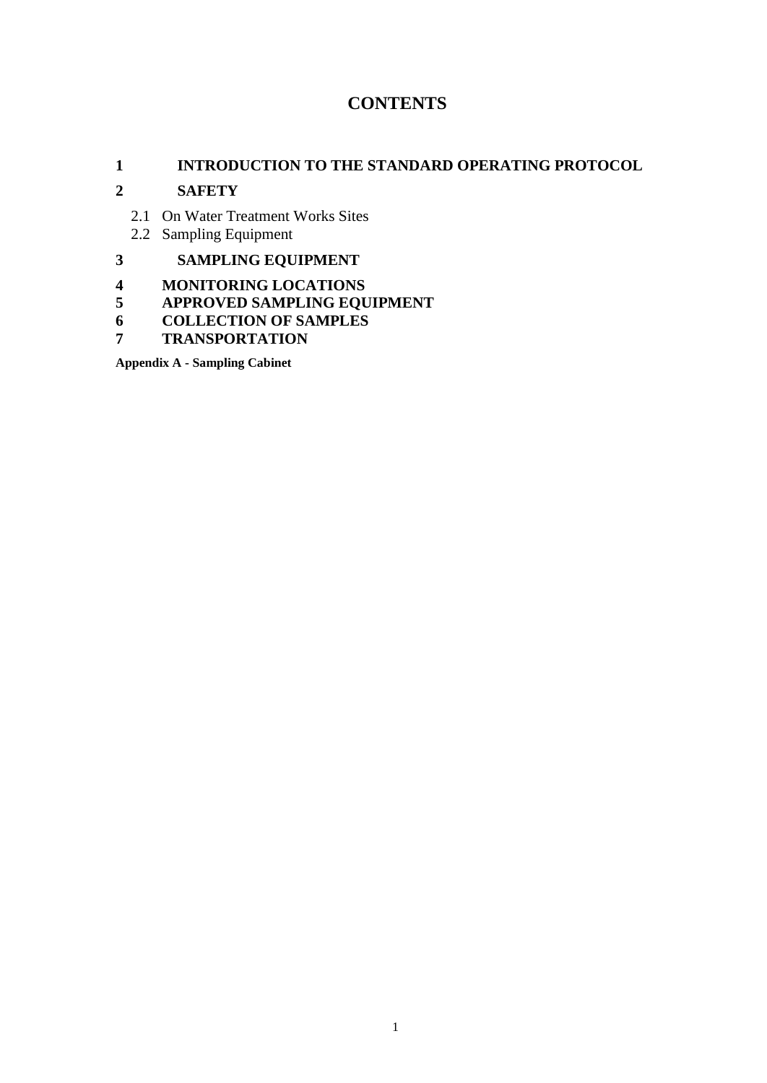### **CONTENTS**

#### **INTRODUCTION TO THE STANDARD OPERATING PROTOCOL**

#### **SAFETY**

- 2.1 On Water Treatment Works Sites
- 2.2 Sampling Equipment

### **SAMPLING EQUIPMENT**

- **MONITORING LOCATIONS**
- **APPROVED SAMPLING EQUIPMENT**
- **COLLECTION OF SAMPLES**
- **TRANSPORTATION**

**Appendix A - Sampling Cabinet**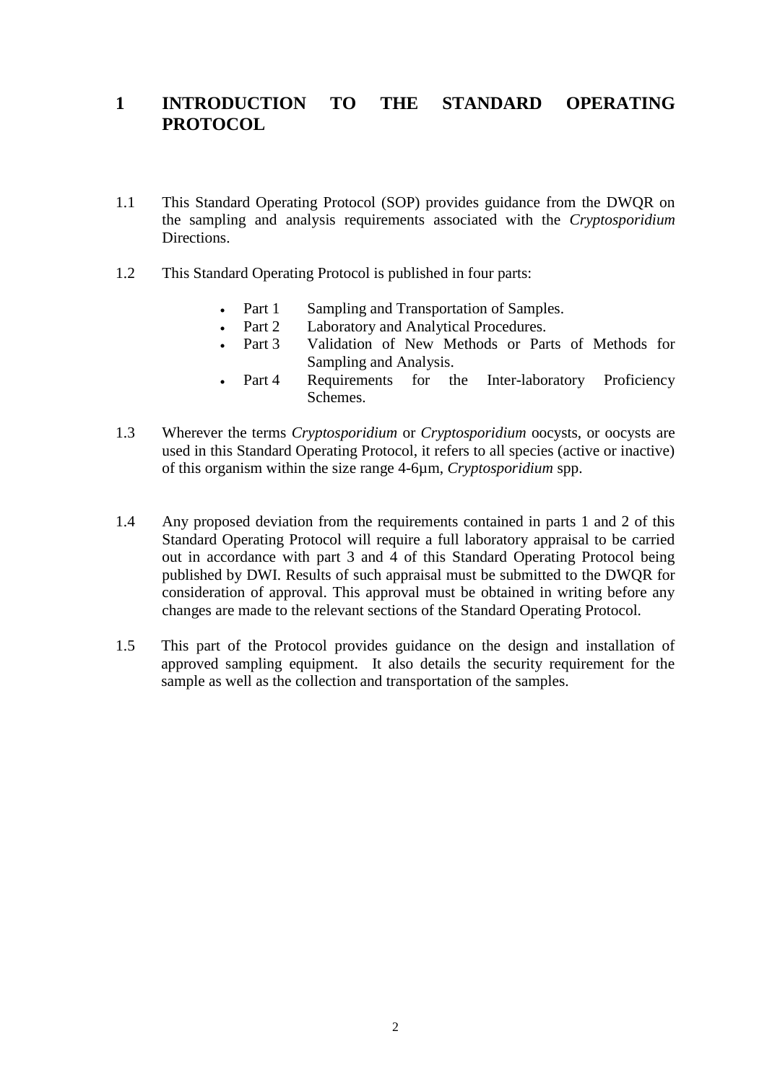### **1 INTRODUCTION TO THE STANDARD OPERATING PROTOCOL**

- 1.1 This Standard Operating Protocol (SOP) provides guidance from the DWQR on the sampling and analysis requirements associated with the *Cryptosporidium*  Directions.
- 1.2 This Standard Operating Protocol is published in four parts:
	- Part 1 Sampling and Transportation of Samples.
	- Part 2 Laboratory and Analytical Procedures.
	- Part 3 Validation of New Methods or Parts of Methods for Sampling and Analysis.
	- Part 4 Requirements for the Inter-laboratory Proficiency Schemes.
- 1.3 Wherever the terms *Cryptosporidium* or *Cryptosporidium* oocysts, or oocysts are used in this Standard Operating Protocol, it refers to all species (active or inactive) of this organism within the size range 4-6µm, *Cryptosporidium* spp.
- 1.4 Any proposed deviation from the requirements contained in parts 1 and 2 of this Standard Operating Protocol will require a full laboratory appraisal to be carried out in accordance with part 3 and 4 of this Standard Operating Protocol being published by DWI. Results of such appraisal must be submitted to the DWQR for consideration of approval. This approval must be obtained in writing before any changes are made to the relevant sections of the Standard Operating Protocol.
- 1.5 This part of the Protocol provides guidance on the design and installation of approved sampling equipment. It also details the security requirement for the sample as well as the collection and transportation of the samples.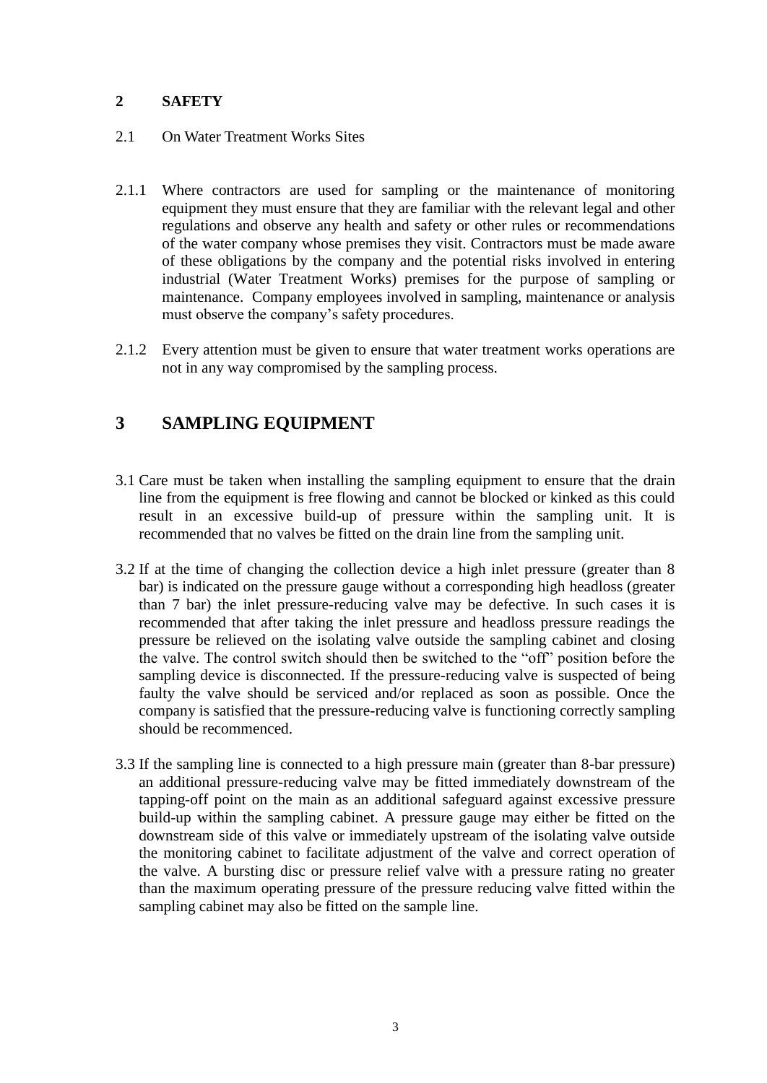#### **2 SAFETY**

- 2.1 On Water Treatment Works Sites
- 2.1.1 Where contractors are used for sampling or the maintenance of monitoring equipment they must ensure that they are familiar with the relevant legal and other regulations and observe any health and safety or other rules or recommendations of the water company whose premises they visit. Contractors must be made aware of these obligations by the company and the potential risks involved in entering industrial (Water Treatment Works) premises for the purpose of sampling or maintenance. Company employees involved in sampling, maintenance or analysis must observe the company's safety procedures.
- 2.1.2 Every attention must be given to ensure that water treatment works operations are not in any way compromised by the sampling process.

### **3 SAMPLING EQUIPMENT**

- 3.1 Care must be taken when installing the sampling equipment to ensure that the drain line from the equipment is free flowing and cannot be blocked or kinked as this could result in an excessive build-up of pressure within the sampling unit. It is recommended that no valves be fitted on the drain line from the sampling unit.
- 3.2 If at the time of changing the collection device a high inlet pressure (greater than 8 bar) is indicated on the pressure gauge without a corresponding high headloss (greater than 7 bar) the inlet pressure-reducing valve may be defective. In such cases it is recommended that after taking the inlet pressure and headloss pressure readings the pressure be relieved on the isolating valve outside the sampling cabinet and closing the valve. The control switch should then be switched to the "off" position before the sampling device is disconnected. If the pressure-reducing valve is suspected of being faulty the valve should be serviced and/or replaced as soon as possible. Once the company is satisfied that the pressure-reducing valve is functioning correctly sampling should be recommenced.
- 3.3 If the sampling line is connected to a high pressure main (greater than 8-bar pressure) an additional pressure-reducing valve may be fitted immediately downstream of the tapping-off point on the main as an additional safeguard against excessive pressure build-up within the sampling cabinet. A pressure gauge may either be fitted on the downstream side of this valve or immediately upstream of the isolating valve outside the monitoring cabinet to facilitate adjustment of the valve and correct operation of the valve. A bursting disc or pressure relief valve with a pressure rating no greater than the maximum operating pressure of the pressure reducing valve fitted within the sampling cabinet may also be fitted on the sample line.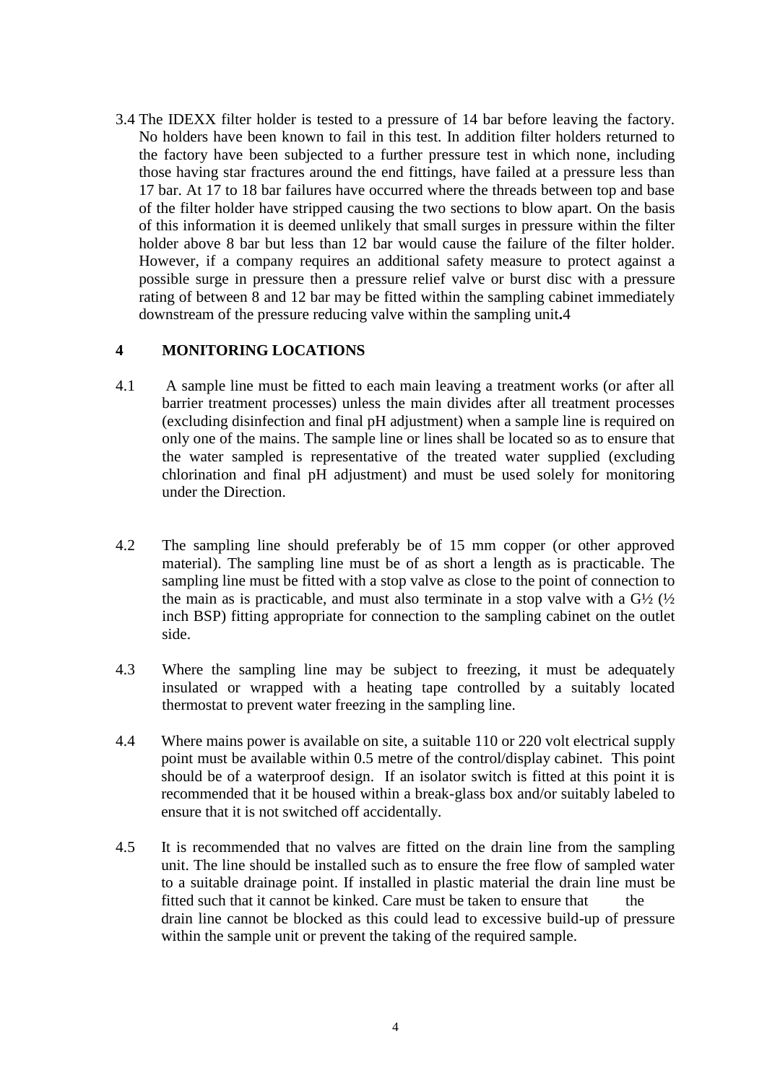3.4 The IDEXX filter holder is tested to a pressure of 14 bar before leaving the factory. No holders have been known to fail in this test. In addition filter holders returned to the factory have been subjected to a further pressure test in which none, including those having star fractures around the end fittings, have failed at a pressure less than 17 bar. At 17 to 18 bar failures have occurred where the threads between top and base of the filter holder have stripped causing the two sections to blow apart. On the basis of this information it is deemed unlikely that small surges in pressure within the filter holder above 8 bar but less than 12 bar would cause the failure of the filter holder. However, if a company requires an additional safety measure to protect against a possible surge in pressure then a pressure relief valve or burst disc with a pressure rating of between 8 and 12 bar may be fitted within the sampling cabinet immediately downstream of the pressure reducing valve within the sampling unit**.**4

#### **4 MONITORING LOCATIONS**

- 4.1 A sample line must be fitted to each main leaving a treatment works (or after all barrier treatment processes) unless the main divides after all treatment processes (excluding disinfection and final pH adjustment) when a sample line is required on only one of the mains. The sample line or lines shall be located so as to ensure that the water sampled is representative of the treated water supplied (excluding chlorination and final pH adjustment) and must be used solely for monitoring under the Direction.
- 4.2 The sampling line should preferably be of 15 mm copper (or other approved material). The sampling line must be of as short a length as is practicable. The sampling line must be fitted with a stop valve as close to the point of connection to the main as is practicable, and must also terminate in a stop valve with a  $G\frac{1}{2}$  ( $\frac{1}{2}$ ) inch BSP) fitting appropriate for connection to the sampling cabinet on the outlet side.
- 4.3 Where the sampling line may be subject to freezing, it must be adequately insulated or wrapped with a heating tape controlled by a suitably located thermostat to prevent water freezing in the sampling line.
- 4.4 Where mains power is available on site, a suitable 110 or 220 volt electrical supply point must be available within 0.5 metre of the control/display cabinet. This point should be of a waterproof design. If an isolator switch is fitted at this point it is recommended that it be housed within a break-glass box and/or suitably labeled to ensure that it is not switched off accidentally.
- 4.5 It is recommended that no valves are fitted on the drain line from the sampling unit. The line should be installed such as to ensure the free flow of sampled water to a suitable drainage point. If installed in plastic material the drain line must be fitted such that it cannot be kinked. Care must be taken to ensure that the drain line cannot be blocked as this could lead to excessive build-up of pressure within the sample unit or prevent the taking of the required sample.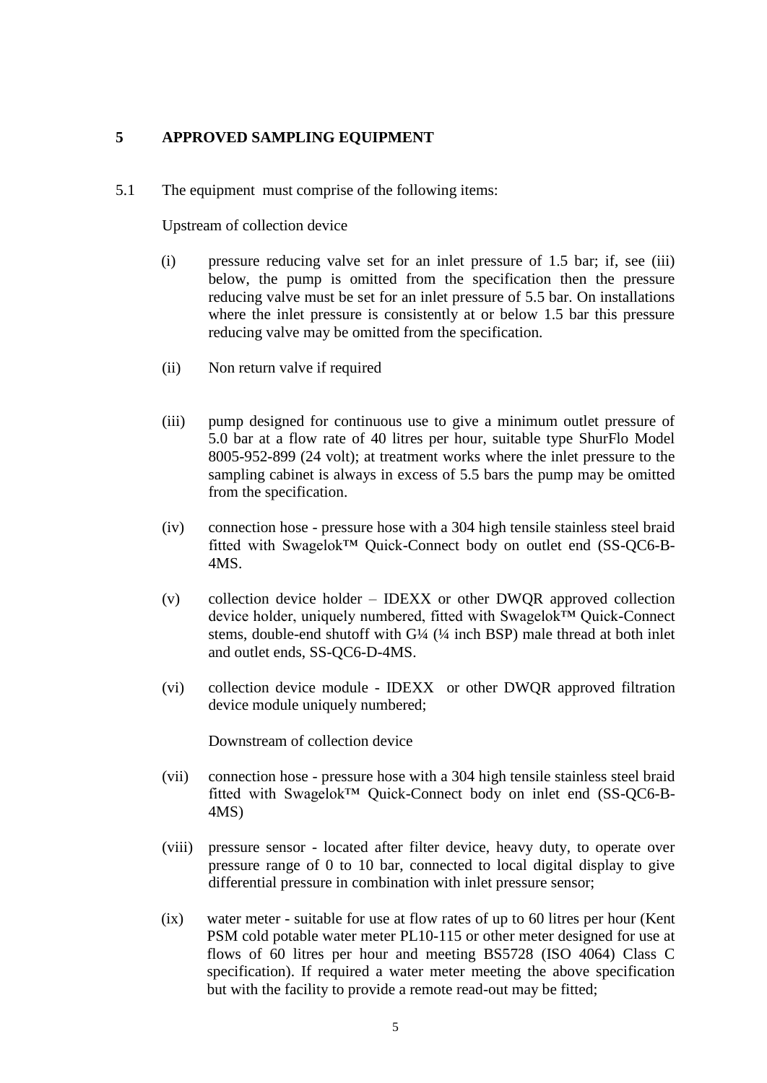#### **5 APPROVED SAMPLING EQUIPMENT**

5.1 The equipment must comprise of the following items:

Upstream of collection device

- (i) pressure reducing valve set for an inlet pressure of 1.5 bar; if, see (iii) below, the pump is omitted from the specification then the pressure reducing valve must be set for an inlet pressure of 5.5 bar. On installations where the inlet pressure is consistently at or below 1.5 bar this pressure reducing valve may be omitted from the specification.
- (ii) Non return valve if required
- (iii) pump designed for continuous use to give a minimum outlet pressure of 5.0 bar at a flow rate of 40 litres per hour, suitable type ShurFlo Model 8005-952-899 (24 volt); at treatment works where the inlet pressure to the sampling cabinet is always in excess of 5.5 bars the pump may be omitted from the specification.
- (iv) connection hose pressure hose with a 304 high tensile stainless steel braid fitted with Swagelok™ Quick-Connect body on outlet end (SS-QC6-B-4MS.
- (v) collection device holder IDEXX or other DWQR approved collection device holder, uniquely numbered, fitted with Swagelok™ Quick-Connect stems, double-end shutoff with G¼ (¼ inch BSP) male thread at both inlet and outlet ends, SS-QC6-D-4MS.
- (vi) collection device module IDEXX or other DWQR approved filtration device module uniquely numbered;

Downstream of collection device

- (vii) connection hose pressure hose with a 304 high tensile stainless steel braid fitted with Swagelok™ Quick-Connect body on inlet end (SS-QC6-B-4MS)
- (viii) pressure sensor located after filter device, heavy duty, to operate over pressure range of 0 to 10 bar, connected to local digital display to give differential pressure in combination with inlet pressure sensor;
- (ix) water meter suitable for use at flow rates of up to 60 litres per hour (Kent PSM cold potable water meter PL10-115 or other meter designed for use at flows of 60 litres per hour and meeting BS5728 (ISO 4064) Class C specification). If required a water meter meeting the above specification but with the facility to provide a remote read-out may be fitted;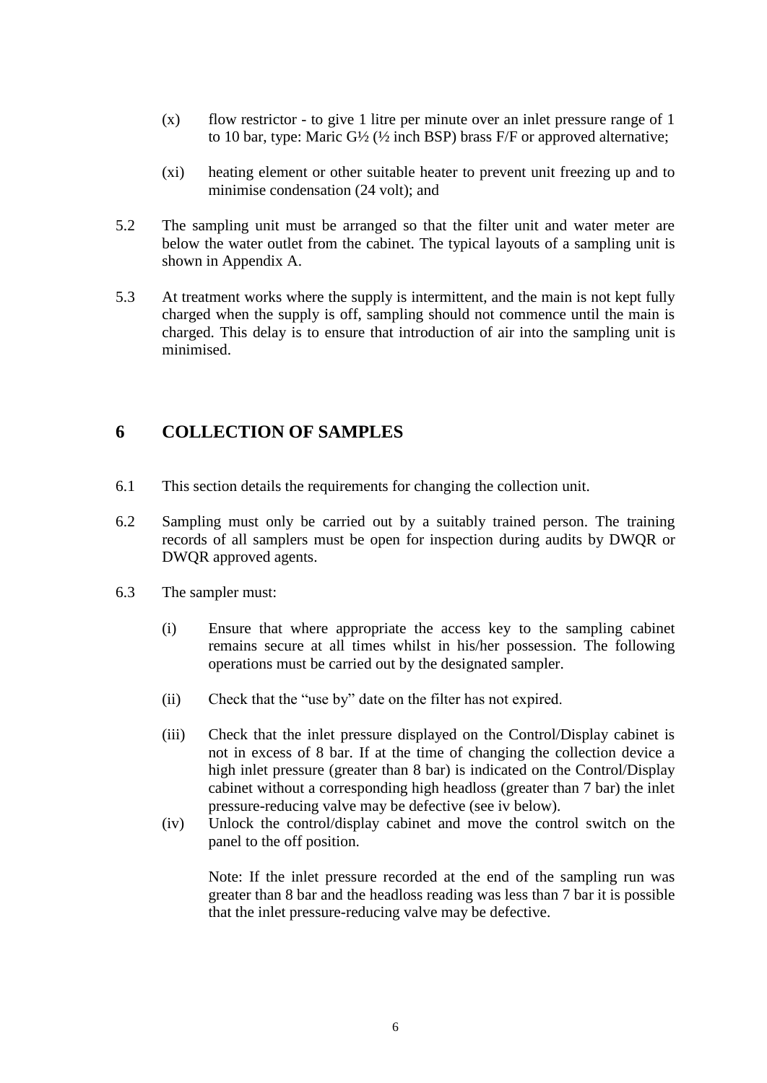- (x) flow restrictor to give 1 litre per minute over an inlet pressure range of 1 to 10 bar, type: Maric G½ (½ inch BSP) brass F/F or approved alternative;
- (xi) heating element or other suitable heater to prevent unit freezing up and to minimise condensation (24 volt); and
- 5.2 The sampling unit must be arranged so that the filter unit and water meter are below the water outlet from the cabinet. The typical layouts of a sampling unit is shown in Appendix A.
- 5.3 At treatment works where the supply is intermittent, and the main is not kept fully charged when the supply is off, sampling should not commence until the main is charged. This delay is to ensure that introduction of air into the sampling unit is minimised.

### **6 COLLECTION OF SAMPLES**

- 6.1 This section details the requirements for changing the collection unit.
- 6.2 Sampling must only be carried out by a suitably trained person. The training records of all samplers must be open for inspection during audits by DWQR or DWQR approved agents.
- 6.3 The sampler must:
	- (i) Ensure that where appropriate the access key to the sampling cabinet remains secure at all times whilst in his/her possession. The following operations must be carried out by the designated sampler.
	- (ii) Check that the "use by" date on the filter has not expired.
	- (iii) Check that the inlet pressure displayed on the Control/Display cabinet is not in excess of 8 bar. If at the time of changing the collection device a high inlet pressure (greater than 8 bar) is indicated on the Control/Display cabinet without a corresponding high headloss (greater than 7 bar) the inlet pressure-reducing valve may be defective (see iv below).
	- (iv) Unlock the control/display cabinet and move the control switch on the panel to the off position.

Note: If the inlet pressure recorded at the end of the sampling run was greater than 8 bar and the headloss reading was less than 7 bar it is possible that the inlet pressure-reducing valve may be defective.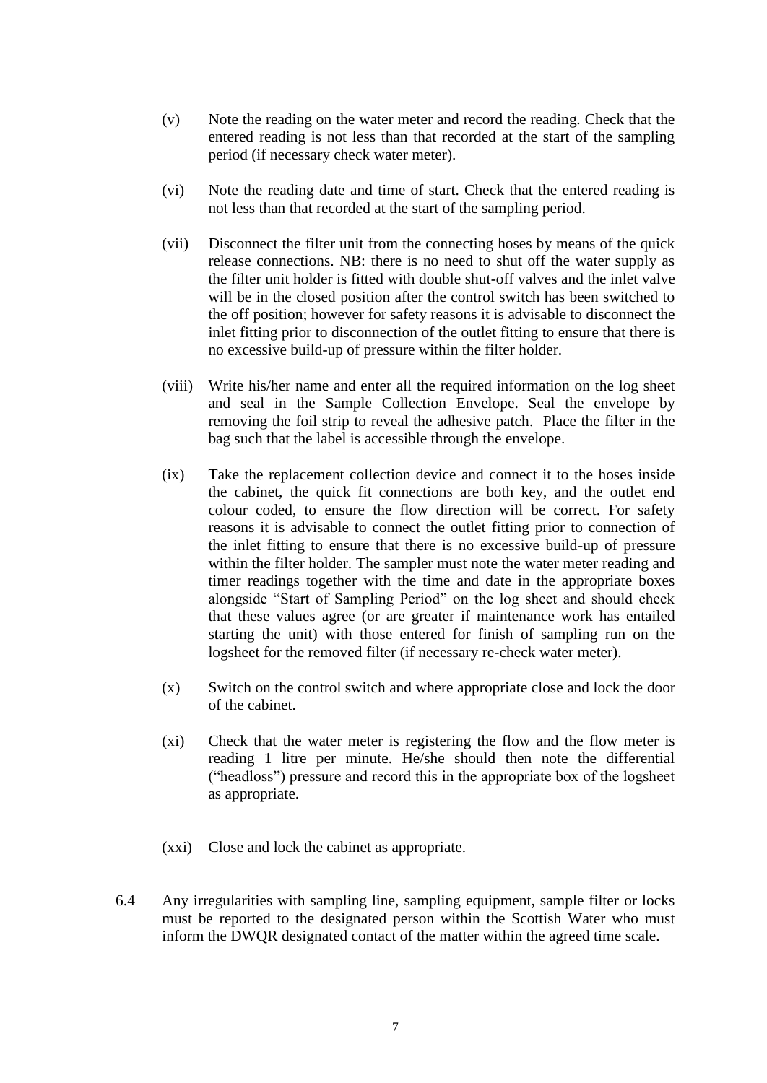- (v) Note the reading on the water meter and record the reading. Check that the entered reading is not less than that recorded at the start of the sampling period (if necessary check water meter).
- (vi) Note the reading date and time of start. Check that the entered reading is not less than that recorded at the start of the sampling period.
- (vii) Disconnect the filter unit from the connecting hoses by means of the quick release connections. NB: there is no need to shut off the water supply as the filter unit holder is fitted with double shut-off valves and the inlet valve will be in the closed position after the control switch has been switched to the off position; however for safety reasons it is advisable to disconnect the inlet fitting prior to disconnection of the outlet fitting to ensure that there is no excessive build-up of pressure within the filter holder.
- (viii) Write his/her name and enter all the required information on the log sheet and seal in the Sample Collection Envelope. Seal the envelope by removing the foil strip to reveal the adhesive patch. Place the filter in the bag such that the label is accessible through the envelope.
- (ix) Take the replacement collection device and connect it to the hoses inside the cabinet, the quick fit connections are both key, and the outlet end colour coded, to ensure the flow direction will be correct. For safety reasons it is advisable to connect the outlet fitting prior to connection of the inlet fitting to ensure that there is no excessive build-up of pressure within the filter holder. The sampler must note the water meter reading and timer readings together with the time and date in the appropriate boxes alongside "Start of Sampling Period" on the log sheet and should check that these values agree (or are greater if maintenance work has entailed starting the unit) with those entered for finish of sampling run on the logsheet for the removed filter (if necessary re-check water meter).
- (x) Switch on the control switch and where appropriate close and lock the door of the cabinet.
- (xi) Check that the water meter is registering the flow and the flow meter is reading 1 litre per minute. He/she should then note the differential ("headloss") pressure and record this in the appropriate box of the logsheet as appropriate.
- (xxi) Close and lock the cabinet as appropriate.
- 6.4 Any irregularities with sampling line, sampling equipment, sample filter or locks must be reported to the designated person within the Scottish Water who must inform the DWQR designated contact of the matter within the agreed time scale.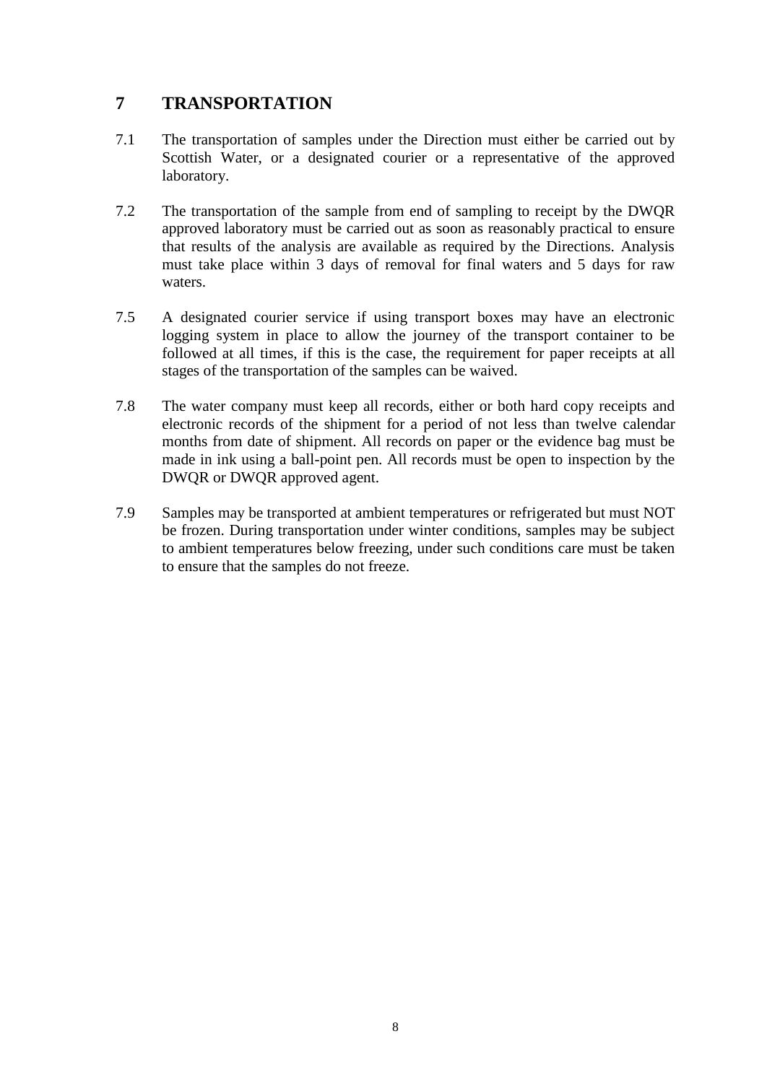### **7 TRANSPORTATION**

- 7.1 The transportation of samples under the Direction must either be carried out by Scottish Water, or a designated courier or a representative of the approved laboratory.
- 7.2 The transportation of the sample from end of sampling to receipt by the DWQR approved laboratory must be carried out as soon as reasonably practical to ensure that results of the analysis are available as required by the Directions. Analysis must take place within 3 days of removal for final waters and 5 days for raw waters.
- 7.5 A designated courier service if using transport boxes may have an electronic logging system in place to allow the journey of the transport container to be followed at all times, if this is the case, the requirement for paper receipts at all stages of the transportation of the samples can be waived.
- 7.8 The water company must keep all records, either or both hard copy receipts and electronic records of the shipment for a period of not less than twelve calendar months from date of shipment. All records on paper or the evidence bag must be made in ink using a ball-point pen. All records must be open to inspection by the DWQR or DWQR approved agent.
- 7.9 Samples may be transported at ambient temperatures or refrigerated but must NOT be frozen. During transportation under winter conditions, samples may be subject to ambient temperatures below freezing, under such conditions care must be taken to ensure that the samples do not freeze.